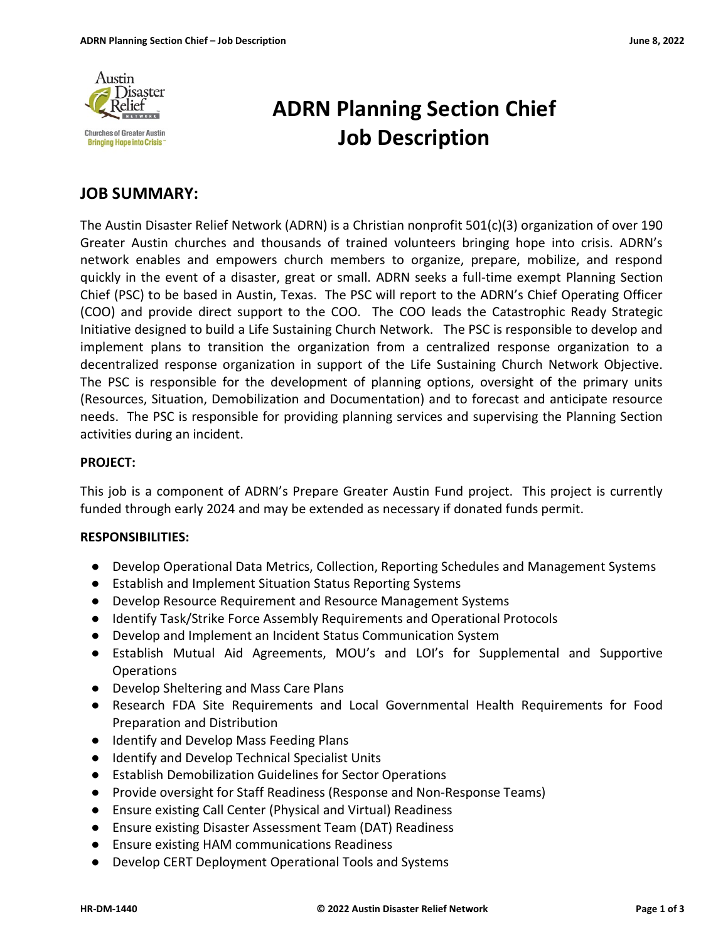

# ADRN Planning Section Chief Job Description

# JOB SUMMARY:

The Austin Disaster Relief Network (ADRN) is a Christian nonprofit 501(c)(3) organization of over 190 Greater Austin churches and thousands of trained volunteers bringing hope into crisis. ADRN's network enables and empowers church members to organize, prepare, mobilize, and respond quickly in the event of a disaster, great or small. ADRN seeks a full-time exempt Planning Section Chief (PSC) to be based in Austin, Texas. The PSC will report to the ADRN's Chief Operating Officer (COO) and provide direct support to the COO. The COO leads the Catastrophic Ready Strategic Initiative designed to build a Life Sustaining Church Network. The PSC is responsible to develop and implement plans to transition the organization from a centralized response organization to a decentralized response organization in support of the Life Sustaining Church Network Objective. The PSC is responsible for the development of planning options, oversight of the primary units (Resources, Situation, Demobilization and Documentation) and to forecast and anticipate resource needs. The PSC is responsible for providing planning services and supervising the Planning Section activities during an incident.

#### PROJECT:

This job is a component of ADRN's Prepare Greater Austin Fund project. This project is currently funded through early 2024 and may be extended as necessary if donated funds permit.

#### RESPONSIBILITIES:

- Develop Operational Data Metrics, Collection, Reporting Schedules and Management Systems
- Establish and Implement Situation Status Reporting Systems
- Develop Resource Requirement and Resource Management Systems
- Identify Task/Strike Force Assembly Requirements and Operational Protocols
- Develop and Implement an Incident Status Communication System
- Establish Mutual Aid Agreements, MOU's and LOI's for Supplemental and Supportive Operations
- Develop Sheltering and Mass Care Plans
- Research FDA Site Requirements and Local Governmental Health Requirements for Food Preparation and Distribution
- Identify and Develop Mass Feeding Plans
- Identify and Develop Technical Specialist Units
- Establish Demobilization Guidelines for Sector Operations
- Provide oversight for Staff Readiness (Response and Non-Response Teams)
- Ensure existing Call Center (Physical and Virtual) Readiness
- Ensure existing Disaster Assessment Team (DAT) Readiness
- Ensure existing HAM communications Readiness
- Develop CERT Deployment Operational Tools and Systems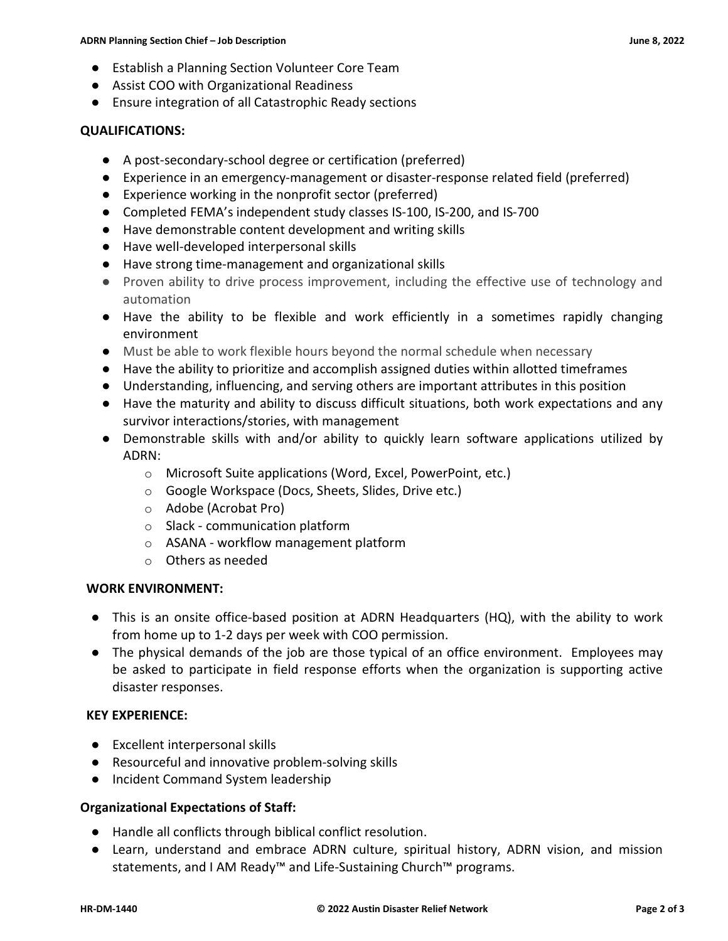- Establish a Planning Section Volunteer Core Team
- Assist COO with Organizational Readiness
- Ensure integration of all Catastrophic Ready sections

#### QUALIFICATIONS:

- A post-secondary-school degree or certification (preferred)
- Experience in an emergency-management or disaster-response related field (preferred)
- Experience working in the nonprofit sector (preferred)
- Completed FEMA's independent study classes IS-100, IS-200, and IS-700
- Have demonstrable content development and writing skills
- Have well-developed interpersonal skills
- Have strong time-management and organizational skills
- Proven ability to drive process improvement, including the effective use of technology and automation
- Have the ability to be flexible and work efficiently in a sometimes rapidly changing environment
- Must be able to work flexible hours beyond the normal schedule when necessary
- Have the ability to prioritize and accomplish assigned duties within allotted timeframes
- Understanding, influencing, and serving others are important attributes in this position
- Have the maturity and ability to discuss difficult situations, both work expectations and any survivor interactions/stories, with management
- Demonstrable skills with and/or ability to quickly learn software applications utilized by ADRN:
	- o Microsoft Suite applications (Word, Excel, PowerPoint, etc.)
	- o Google Workspace (Docs, Sheets, Slides, Drive etc.)
	- o Adobe (Acrobat Pro)
	- o Slack communication platform
	- o ASANA workflow management platform
	- o Others as needed

### WORK ENVIRONMENT:

- This is an onsite office-based position at ADRN Headquarters (HQ), with the ability to work from home up to 1-2 days per week with COO permission.
- The physical demands of the job are those typical of an office environment. Employees may be asked to participate in field response efforts when the organization is supporting active disaster responses.

### KEY EXPERIENCE:

- Excellent interpersonal skills
- Resourceful and innovative problem-solving skills
- Incident Command System leadership

### Organizational Expectations of Staff:

- Handle all conflicts through biblical conflict resolution.
- Learn, understand and embrace ADRN culture, spiritual history, ADRN vision, and mission statements, and I AM Ready™ and Life-Sustaining Church™ programs.